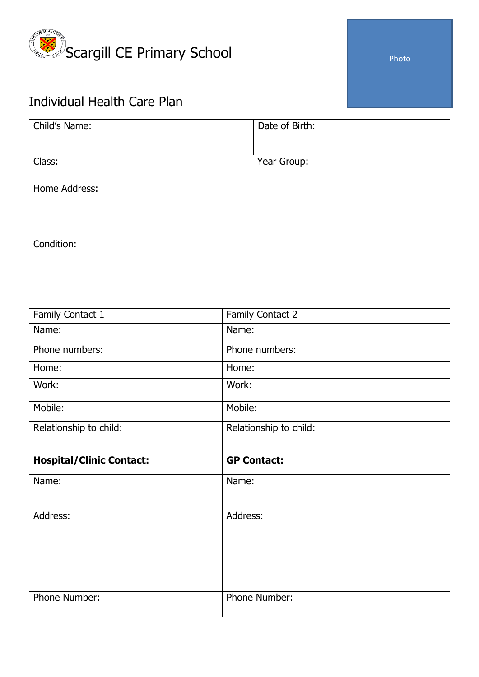

## Individual Health Care Plan

| Child's Name:                   | Date of Birth:         |
|---------------------------------|------------------------|
|                                 |                        |
| Class:                          | Year Group:            |
| Home Address:                   |                        |
|                                 |                        |
|                                 |                        |
| Condition:                      |                        |
|                                 |                        |
|                                 |                        |
| Family Contact 1                | Family Contact 2       |
| Name:                           | Name:                  |
| Phone numbers:                  | Phone numbers:         |
| Home:                           | Home:                  |
| Work:                           | Work:                  |
| Mobile:                         | Mobile:                |
| Relationship to child:          | Relationship to child: |
|                                 |                        |
| <b>Hospital/Clinic Contact:</b> | <b>GP Contact:</b>     |
| Name:                           | Name:                  |
| Address:                        | Address:               |
|                                 |                        |
|                                 |                        |
|                                 |                        |
|                                 |                        |
| Phone Number:                   | Phone Number:          |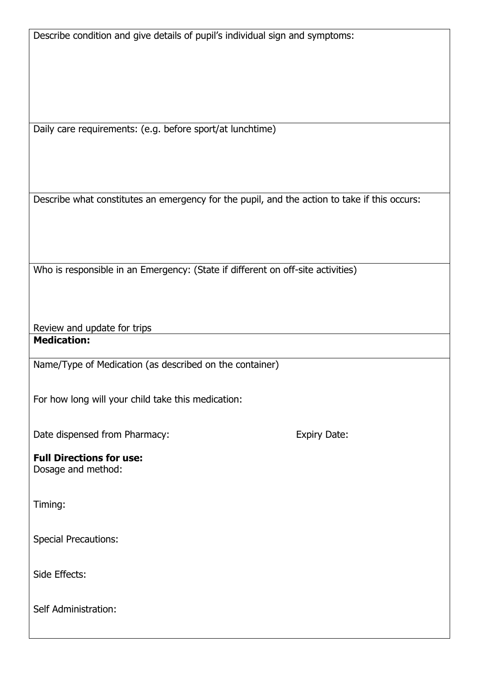Describe condition and give details of pupil's individual sign and symptoms:

Daily care requirements: (e.g. before sport/at lunchtime)

Describe what constitutes an emergency for the pupil, and the action to take if this occurs:

Who is responsible in an Emergency: (State if different on off-site activities)

Review and update for trips **Medication:**

Name/Type of Medication (as described on the container)

For how long will your child take this medication:

Date dispensed from Pharmacy: Expiry Date:

## **Full Directions for use:**

Dosage and method:

Timing:

Special Precautions:

Side Effects:

Self Administration: